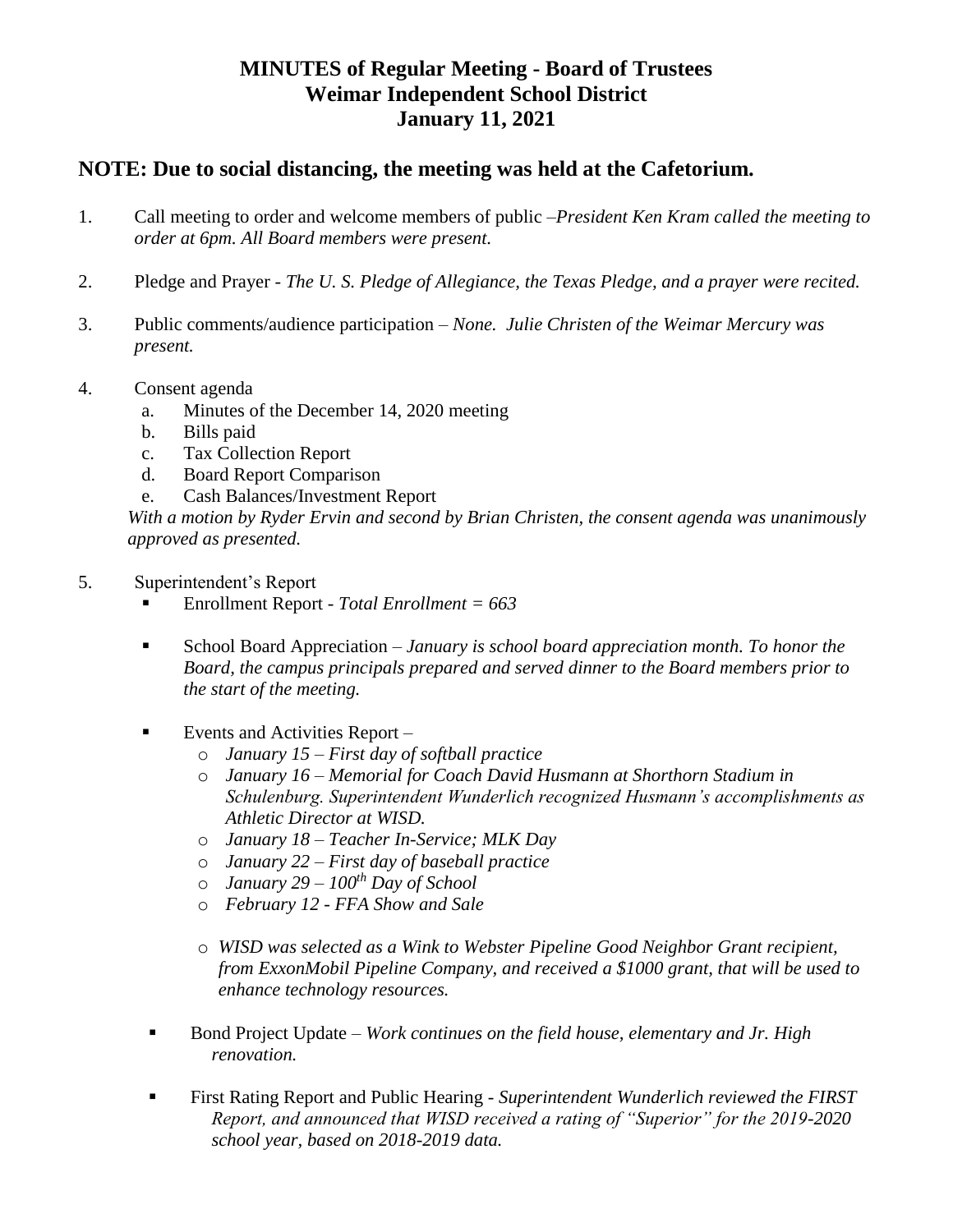## **MINUTES of Regular Meeting - Board of Trustees Weimar Independent School District January 11, 2021**

## **NOTE: Due to social distancing, the meeting was held at the Cafetorium.**

- 1. Call meeting to order and welcome members of public –*President Ken Kram called the meeting to order at 6pm. All Board members were present.*
- 2. Pledge and Prayer *The U. S. Pledge of Allegiance, the Texas Pledge, and a prayer were recited.*
- 3. Public comments/audience participation *None. Julie Christen of the Weimar Mercury was present.*
- 4. Consent agenda
	- a. Minutes of the December 14, 2020 meeting
	- b. Bills paid
	- c. Tax Collection Report
	- d. Board Report Comparison
	- e. Cash Balances/Investment Report

*With a motion by Ryder Ervin and second by Brian Christen, the consent agenda was unanimously approved as presented.*

- 5. Superintendent's Report
	- Enrollment Report *- Total Enrollment = 663*
	- School Board Appreciation  *January is school board appreciation month. To honor the Board, the campus principals prepared and served dinner to the Board members prior to the start of the meeting.*
	- Events and Activities Report  $$ 
		- o *January 15 – First day of softball practice*
		- o *January 16 – Memorial for Coach David Husmann at Shorthorn Stadium in Schulenburg. Superintendent Wunderlich recognized Husmann's accomplishments as Athletic Director at WISD.*
		- o *January 18 – Teacher In-Service; MLK Day*
		- o *January 22 – First day of baseball practice*
		- o *January 29 – 100th Day of School*
		- o *February 12 - FFA Show and Sale*
		- o *WISD was selected as a Wink to Webster Pipeline Good Neighbor Grant recipient, from ExxonMobil Pipeline Company, and received a \$1000 grant, that will be used to enhance technology resources.*
	- Bond Project Update *– Work continues on the field house, elementary and Jr. High renovation.*
	- First Rating Report and Public Hearing *Superintendent Wunderlich reviewed the FIRST Report, and announced that WISD received a rating of "Superior" for the 2019-2020 school year, based on 2018-2019 data.*